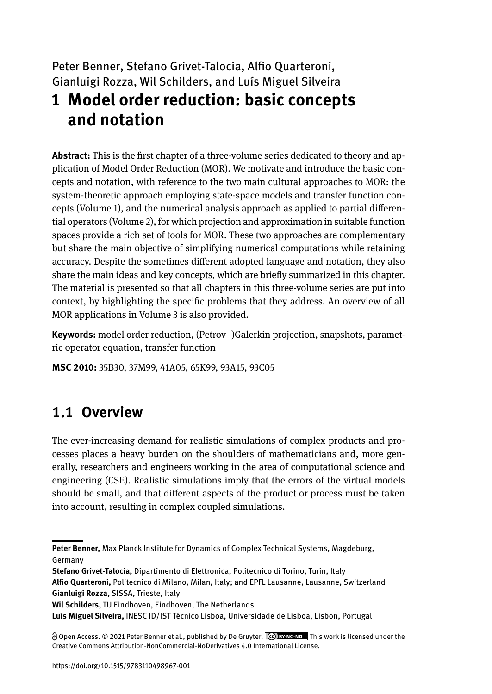# Peter Benner, Stefano Grivet-Talocia, Alfio Quarteroni, Gianluigi Rozza, Wil Schilders, and Luís Miguel Silveira **1 Model order reduction: basic concepts and notation**

**Abstract:** This is the first chapter of a three-volume series dedicated to theory and application of Model Order Reduction (MOR). We motivate and introduce the basic concepts and notation, with reference to the two main cultural approaches to MOR: the system-theoretic approach employing state-space models and transfer function concepts (Volume 1), and the numerical analysis approach as applied to partial differential operators (Volume 2), for which projection and approximation in suitable function spaces provide a rich set of tools for MOR. These two approaches are complementary but share the main objective of simplifying numerical computations while retaining accuracy. Despite the sometimes different adopted language and notation, they also share the main ideas and key concepts, which are briefly summarized in this chapter. The material is presented so that all chapters in this three-volume series are put into context, by highlighting the specific problems that they address. An overview of all MOR applications in Volume 3 is also provided.

**Keywords:** model order reduction, (Petrov–)Galerkin projection, snapshots, parametric operator equation, transfer function

**MSC 2010:** 35B30, 37M99, 41A05, 65K99, 93A15, 93C05

# **1.1 Overview**

The ever-increasing demand for realistic simulations of complex products and processes places a heavy burden on the shoulders of mathematicians and, more generally, researchers and engineers working in the area of computational science and engineering (CSE). Realistic simulations imply that the errors of the virtual models should be small, and that different aspects of the product or process must be taken into account, resulting in complex coupled simulations.

**Peter Benner,** Max Planck Institute for Dynamics of Complex Technical Systems, Magdeburg, Germany

**Stefano Grivet-Talocia,** Dipartimento di Elettronica, Politecnico di Torino, Turin, Italy **Alfio Quarteroni,** Politecnico di Milano, Milan, Italy; and EPFL Lausanne, Lausanne, Switzerland **Gianluigi Rozza,** SISSA, Trieste, Italy

**Wil Schilders,** TU Eindhoven, Eindhoven, The Netherlands

**Luís Miguel Silveira,** INESC ID/IST Técnico Lisboa, Universidade de Lisboa, Lisbon, Portugal

Open Access. © 2021 Peter Benner et al., published by De Gruyter. This work is licensed under the Creative Commons Attribution-NonCommercial-NoDerivatives 4.0 International License.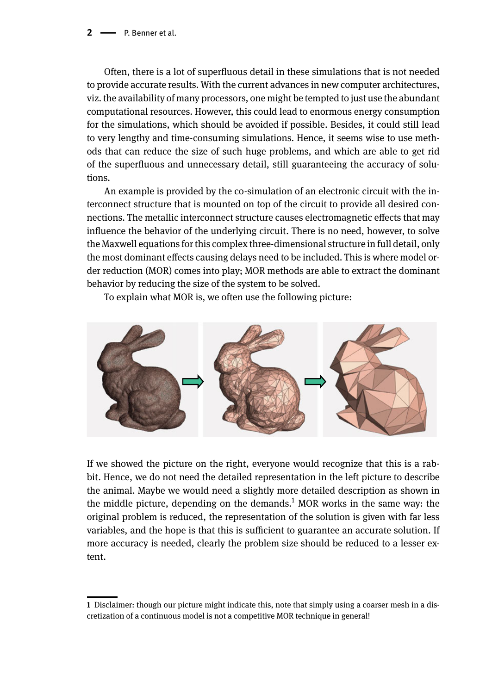**2**  $\longrightarrow$  **P. Benner et al.** 

Often, there is a lot of superfluous detail in these simulations that is not needed to provide accurate results. With the current advances in new computer architectures, viz. the availability of many processors, one might be tempted to just use the abundant computational resources. However, this could lead to enormous energy consumption for the simulations, which should be avoided if possible. Besides, it could still lead to very lengthy and time-consuming simulations. Hence, it seems wise to use methods that can reduce the size of such huge problems, and which are able to get rid of the superfluous and unnecessary detail, still guaranteeing the accuracy of solutions.

An example is provided by the co-simulation of an electronic circuit with the interconnect structure that is mounted on top of the circuit to provide all desired connections. The metallic interconnect structure causes electromagnetic effects that may influence the behavior of the underlying circuit. There is no need, however, to solve the Maxwell equations for this complex three-dimensional structure in full detail, only the most dominant effects causing delays need to be included. This is where model order reduction (MOR) comes into play; MOR methods are able to extract the dominant behavior by reducing the size of the system to be solved.

To explain what MOR is, we often use the following picture:



If we showed the picture on the right, everyone would recognize that this is a rabbit. Hence, we do not need the detailed representation in the left picture to describe the animal. Maybe we would need a slightly more detailed description as shown in the middle picture, depending on the demands.<sup>1</sup> MOR works in the same way: the original problem is reduced, the representation of the solution is given with far less variables, and the hope is that this is sufficient to guarantee an accurate solution. If more accuracy is needed, clearly the problem size should be reduced to a lesser extent.

**<sup>1</sup>** Disclaimer: though our picture might indicate this, note that simply using a coarser mesh in a discretization of a continuous model is not a competitive MOR technique in general!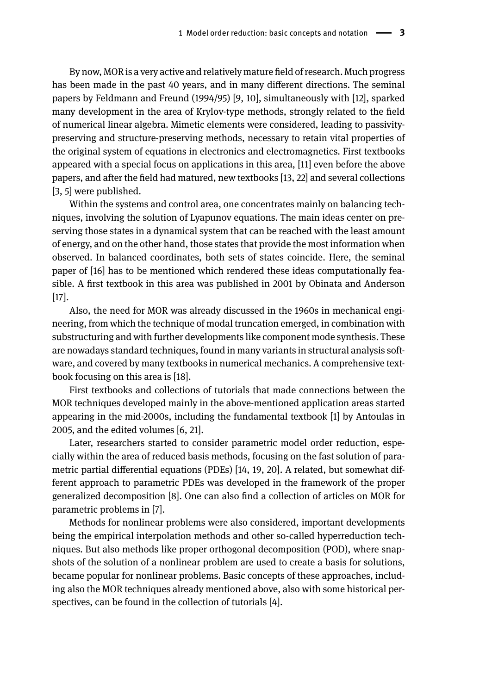By now, MOR is a very active and relatively mature field of research. Much progress has been made in the past 40 years, and in many different directions. The seminal papers by Feldmann and Freund (1994/95) [9, 10], simultaneously with [12], sparked many development in the area of Krylov-type methods, strongly related to the field of numerical linear algebra. Mimetic elements were considered, leading to passivitypreserving and structure-preserving methods, necessary to retain vital properties of the original system of equations in electronics and electromagnetics. First textbooks appeared with a special focus on applications in this area, [11] even before the above papers, and after the field had matured, new textbooks [13, 22] and several collections [3, 5] were published.

Within the systems and control area, one concentrates mainly on balancing techniques, involving the solution of Lyapunov equations. The main ideas center on preserving those states in a dynamical system that can be reached with the least amount of energy, and on the other hand, those states that provide the most information when observed. In balanced coordinates, both sets of states coincide. Here, the seminal paper of [16] has to be mentioned which rendered these ideas computationally feasible. A first textbook in this area was published in 2001 by Obinata and Anderson [17].

Also, the need for MOR was already discussed in the 1960s in mechanical engineering, from which the technique of modal truncation emerged, in combination with substructuring and with further developments like component mode synthesis. These are nowadays standard techniques, found in many variants in structural analysis software, and covered by many textbooks in numerical mechanics. A comprehensive textbook focusing on this area is [18].

First textbooks and collections of tutorials that made connections between the MOR techniques developed mainly in the above-mentioned application areas started appearing in the mid-2000s, including the fundamental textbook [1] by Antoulas in 2005, and the edited volumes [6, 21].

Later, researchers started to consider parametric model order reduction, especially within the area of reduced basis methods, focusing on the fast solution of parametric partial differential equations (PDEs) [14, 19, 20]. A related, but somewhat different approach to parametric PDEs was developed in the framework of the proper generalized decomposition [8]. One can also find a collection of articles on MOR for parametric problems in [7].

Methods for nonlinear problems were also considered, important developments being the empirical interpolation methods and other so-called hyperreduction techniques. But also methods like proper orthogonal decomposition (POD), where snapshots of the solution of a nonlinear problem are used to create a basis for solutions, became popular for nonlinear problems. Basic concepts of these approaches, including also the MOR techniques already mentioned above, also with some historical perspectives, can be found in the collection of tutorials [4].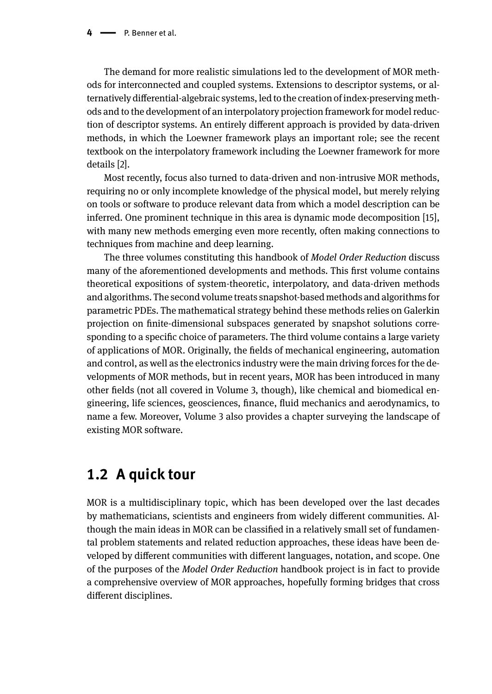The demand for more realistic simulations led to the development of MOR methods for interconnected and coupled systems. Extensions to descriptor systems, or alternatively differential-algebraic systems, led to the creation of index-preserving methods and to the development of an interpolatory projection framework for model reduction of descriptor systems. An entirely different approach is provided by data-driven methods, in which the Loewner framework plays an important role; see the recent textbook on the interpolatory framework including the Loewner framework for more details [2].

Most recently, focus also turned to data-driven and non-intrusive MOR methods, requiring no or only incomplete knowledge of the physical model, but merely relying on tools or software to produce relevant data from which a model description can be inferred. One prominent technique in this area is dynamic mode decomposition [15], with many new methods emerging even more recently, often making connections to techniques from machine and deep learning.

The three volumes constituting this handbook of *Model Order Reduction* discuss many of the aforementioned developments and methods. This first volume contains theoretical expositions of system-theoretic, interpolatory, and data-driven methods and algorithms. The second volume treats snapshot-based methods and algorithms for parametric PDEs. The mathematical strategy behind these methods relies on Galerkin projection on finite-dimensional subspaces generated by snapshot solutions corresponding to a specific choice of parameters. The third volume contains a large variety of applications of MOR. Originally, the fields of mechanical engineering, automation and control, as well as the electronics industry were the main driving forces for the developments of MOR methods, but in recent years, MOR has been introduced in many other fields (not all covered in Volume 3, though), like chemical and biomedical engineering, life sciences, geosciences, finance, fluid mechanics and aerodynamics, to name a few. Moreover, Volume 3 also provides a chapter surveying the landscape of existing MOR software.

## **1.2 A quick tour**

MOR is a multidisciplinary topic, which has been developed over the last decades by mathematicians, scientists and engineers from widely different communities. Although the main ideas in MOR can be classified in a relatively small set of fundamental problem statements and related reduction approaches, these ideas have been developed by different communities with different languages, notation, and scope. One of the purposes of the *Model Order Reduction* handbook project is in fact to provide a comprehensive overview of MOR approaches, hopefully forming bridges that cross different disciplines.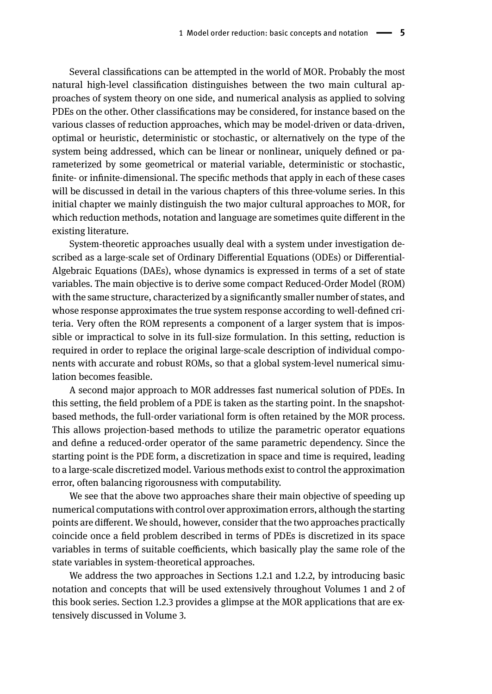Several classifications can be attempted in the world of MOR. Probably the most natural high-level classification distinguishes between the two main cultural approaches of system theory on one side, and numerical analysis as applied to solving PDEs on the other. Other classifications may be considered, for instance based on the various classes of reduction approaches, which may be model-driven or data-driven, optimal or heuristic, deterministic or stochastic, or alternatively on the type of the system being addressed, which can be linear or nonlinear, uniquely defined or parameterized by some geometrical or material variable, deterministic or stochastic, finite- or infinite-dimensional. The specific methods that apply in each of these cases will be discussed in detail in the various chapters of this three-volume series. In this initial chapter we mainly distinguish the two major cultural approaches to MOR, for which reduction methods, notation and language are sometimes quite different in the existing literature.

System-theoretic approaches usually deal with a system under investigation described as a large-scale set of Ordinary Differential Equations (ODEs) or Differential-Algebraic Equations (DAEs), whose dynamics is expressed in terms of a set of state variables. The main objective is to derive some compact Reduced-Order Model (ROM) with the same structure, characterized by a significantly smaller number of states, and whose response approximates the true system response according to well-defined criteria. Very often the ROM represents a component of a larger system that is impossible or impractical to solve in its full-size formulation. In this setting, reduction is required in order to replace the original large-scale description of individual components with accurate and robust ROMs, so that a global system-level numerical simulation becomes feasible.

A second major approach to MOR addresses fast numerical solution of PDEs. In this setting, the field problem of a PDE is taken as the starting point. In the snapshotbased methods, the full-order variational form is often retained by the MOR process. This allows projection-based methods to utilize the parametric operator equations and define a reduced-order operator of the same parametric dependency. Since the starting point is the PDE form, a discretization in space and time is required, leading to a large-scale discretized model. Various methods exist to control the approximation error, often balancing rigorousness with computability.

We see that the above two approaches share their main objective of speeding up numerical computations with control over approximation errors, although the starting points are different. We should, however, consider that the two approaches practically coincide once a field problem described in terms of PDEs is discretized in its space variables in terms of suitable coefficients, which basically play the same role of the state variables in system-theoretical approaches.

We address the two approaches in Sections 1.2.1 and 1.2.2, by introducing basic notation and concepts that will be used extensively throughout Volumes 1 and 2 of this book series. Section 1.2.3 provides a glimpse at the MOR applications that are extensively discussed in Volume 3.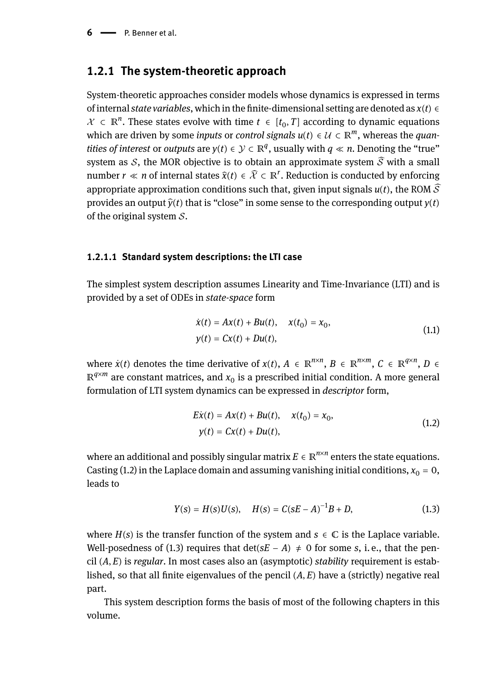$6 \longrightarrow P$ . Benner et al.

### **1.2.1 The system-theoretic approach**

System-theoretic approaches consider models whose dynamics is expressed in terms of internal *state variables*, which in the finite-dimensional setting are denoted as *x*(*t*) ∈  $\mathcal{X} \subset \mathbb{R}^n$ . These states evolve with time  $t \in [t_0, T]$  according to dynamic equations which are driven by some *inputs* or *control signals*  $u(t) \in \mathcal{U} \subset \mathbb{R}^m$ , whereas the *quantities of interest* or *outputs* are  $y(t) \in \mathcal{Y} \subset \mathbb{R}^q$ , usually with  $q \ll n$ . Denoting the "true" system as S, the MOR objective is to obtain an approximate system  $\hat{S}$  with a small number *r* « *n* of internal states  $\hat{x}(t) \in \hat{\mathcal{X}} \subset \mathbb{R}^r$ . Reduction is conducted by enforcing appropriate approximation conditions such that, given input signals  $u(t)$ , the ROM  $\widehat{S}$ provides an output  $\hat{v}(t)$  that is "close" in some sense to the corresponding output  $v(t)$ of the original system  $S$ .

### **1.2.1.1 Standard system descriptions: the LTI case**

The simplest system description assumes Linearity and Time-Invariance (LTI) and is provided by a set of ODEs in *state-space* form

$$
\dot{x}(t) = Ax(t) + Bu(t), \quad x(t_0) = x_0,
$$
  
\n
$$
y(t) = Cx(t) + Du(t),
$$
\n(1.1)

where  $\dot{x}(t)$  denotes the time derivative of  $x(t)$ ,  $A \in \mathbb{R}^{n \times n}$ ,  $B \in \mathbb{R}^{n \times m}$ ,  $C \in \mathbb{R}^{q \times n}$ ,  $D \in$  $\mathbb{R}^{q \times m}$  are constant matrices, and  $x_0$  is a prescribed initial condition. A more general formulation of LTI system dynamics can be expressed in *descriptor* form,

$$
E\dot{x}(t) = Ax(t) + Bu(t), \quad x(t_0) = x_0,
$$
  
\n
$$
y(t) = Cx(t) + Du(t),
$$
\n(1.2)

where an additional and possibly singular matrix  $E \in \mathbb{R}^{n \times n}$  enters the state equations. Casting (1.2) in the Laplace domain and assuming vanishing initial conditions,  $x_0 = 0$ , leads to

$$
Y(s) = H(s)U(s), \quad H(s) = C(sE - A)^{-1}B + D,\tag{1.3}
$$

where  $H(s)$  is the transfer function of the system and  $s \in \mathbb{C}$  is the Laplace variable. Well-posedness of (1.3) requires that det( $sE - A$ )  $\neq$  0 for some *s*, i. e., that the pencil (*A*, *E*) is *regular*. In most cases also an (asymptotic) *stability* requirement is established, so that all finite eigenvalues of the pencil  $(A, E)$  have a (strictly) negative real part.

This system description forms the basis of most of the following chapters in this volume.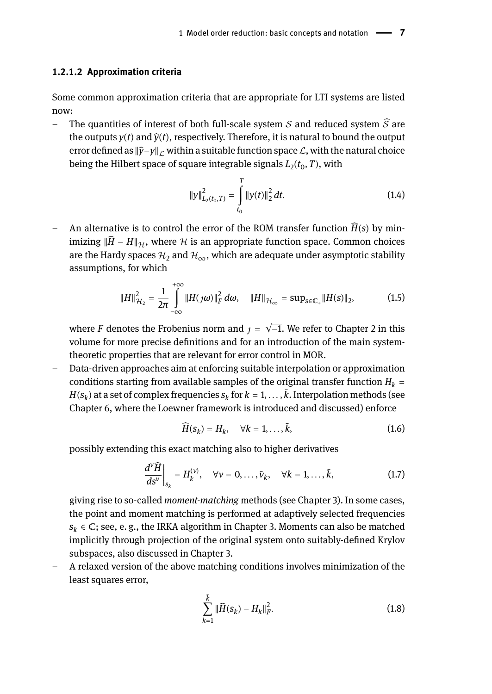#### **1.2.1.2 Approximation criteria**

Some common approximation criteria that are appropriate for LTI systems are listed now:

– The quantities of interest of both full-scale system  $S$  and reduced system  $\widehat{S}$  are the outputs  $y(t)$  and  $\hat{y}(t)$ , respectively. Therefore, it is natural to bound the output error defined as  $\|\hat{y}-y\|_C$  within a suitable function space *L*, with the natural choice being the Hilbert space of square integrable signals  $L_2(t_0,T)$ , with

$$
||y||_{L_2(t_0,T)}^2 = \int_{t_0}^T ||y(t)||_2^2 dt.
$$
 (1.4)

An alternative is to control the error of the ROM transfer function  $\widehat{H}(s)$  by minimizing  $\|\widehat{H} - H\|$ <sup>*H*</sup>, where *H* is an appropriate function space. Common choices are the Hardy spaces  $\mathcal{H}_2$  and  $\mathcal{H}_{\infty}$ , which are adequate under asymptotic stability assumptions, for which

$$
||H||_{\mathcal{H}_2}^2 = \frac{1}{2\pi} \int_{-\infty}^{+\infty} ||H(j\omega)||_F^2 d\omega, \quad ||H||_{\mathcal{H}_{\infty}} = \sup_{s \in \mathbb{C}_+} ||H(s)||_2,
$$
 (1.5)

where *F* denotes the Frobenius norm and  $\tau = \sqrt{-1}$ . We refer to Chapter 2 in this volume for more precise definitions and for an introduction of the main systemtheoretic properties that are relevant for error control in MOR.

– Data-driven approaches aim at enforcing suitable interpolation or approximation conditions starting from available samples of the original transfer function  $H_k =$  $H(s_k)$  at a set of complex frequencies  $s_k$  for  $k = 1, \ldots, k$ . Interpolation methods (see Chapter 6, where the Loewner framework is introduced and discussed) enforce

$$
\widehat{H}(s_k) = H_k, \quad \forall k = 1, \dots, \bar{k}, \tag{1.6}
$$

possibly extending this exact matching also to higher derivatives

$$
\left. \frac{d^{\nu} \widehat{H}}{ds^{\nu}} \right|_{s_k} = H_k^{(\nu)}, \quad \forall \nu = 0, \ldots, \bar{\nu}_k, \quad \forall k = 1, \ldots, \bar{k}, \tag{1.7}
$$

giving rise to so-called *moment-matching* methods (see Chapter 3). In some cases, the point and moment matching is performed at adaptively selected frequencies  $s_k \in \mathbb{C}$ ; see, e.g., the IRKA algorithm in Chapter 3. Moments can also be matched implicitly through projection of the original system onto suitably-defined Krylov subspaces, also discussed in Chapter 3.

– A relaxed version of the above matching conditions involves minimization of the least squares error,

$$
\sum_{k=1}^{\bar{k}} \|\widehat{H}(s_k) - H_k\|_F^2.
$$
\n(1.8)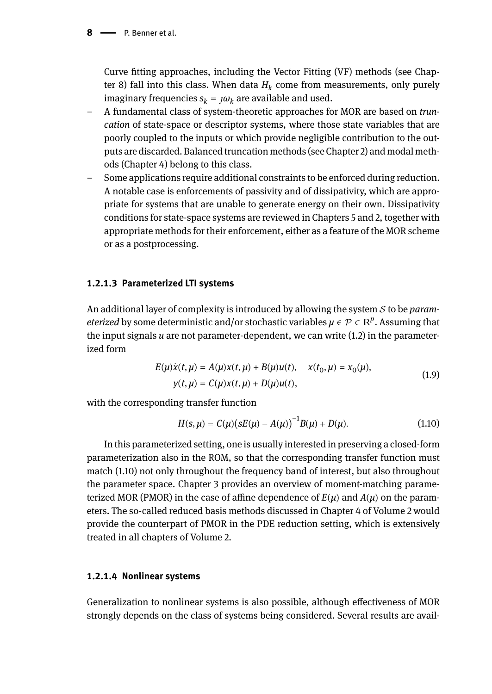#### **8**  $\longrightarrow$  **P. Benner et al.**

Curve fitting approaches, including the Vector Fitting (VF) methods (see Chapter 8) fall into this class. When data *H<sup>k</sup>* come from measurements, only purely imaginary frequencies  $s_k = \mu v_k$  are available and used.

- A fundamental class of system-theoretic approaches for MOR are based on *truncation* of state-space or descriptor systems, where those state variables that are poorly coupled to the inputs or which provide negligible contribution to the outputs are discarded. Balanced truncation methods (see Chapter 2) and modal methods (Chapter 4) belong to this class.
- Some applications require additional constraints to be enforced during reduction. A notable case is enforcements of passivity and of dissipativity, which are appropriate for systems that are unable to generate energy on their own. Dissipativity conditions for state-space systems are reviewed in Chapters 5 and 2, together with appropriate methods for their enforcement, either as a feature of the MOR scheme or as a postprocessing.

### **1.2.1.3 Parameterized LTI systems**

An additional layer of complexity is introduced by allowing the system *S* to be *parameterized* by some deterministic and/or stochastic variables  $\mu \in \mathcal{P} \subset \mathbb{R}^p$ . Assuming that the input signals *u* are not parameter-dependent, we can write (1.2) in the parameterized form

$$
E(\mu)\dot{x}(t,\mu) = A(\mu)x(t,\mu) + B(\mu)u(t), \quad x(t_0,\mu) = x_0(\mu),
$$
  
 
$$
y(t,\mu) = C(\mu)x(t,\mu) + D(\mu)u(t),
$$
 (1.9)

with the corresponding transfer function

$$
H(s,\mu) = C(\mu)(sE(\mu) - A(\mu))^{-1}B(\mu) + D(\mu). \tag{1.10}
$$

In this parameterized setting, one is usually interested in preserving a closed-form parameterization also in the ROM, so that the corresponding transfer function must match (1.10) not only throughout the frequency band of interest, but also throughout the parameter space. Chapter 3 provides an overview of moment-matching parameterized MOR (PMOR) in the case of affine dependence of  $E(\mu)$  and  $A(\mu)$  on the parameters. The so-called reduced basis methods discussed in Chapter 4 of Volume 2 would provide the counterpart of PMOR in the PDE reduction setting, which is extensively treated in all chapters of Volume 2.

#### **1.2.1.4 Nonlinear systems**

Generalization to nonlinear systems is also possible, although effectiveness of MOR strongly depends on the class of systems being considered. Several results are avail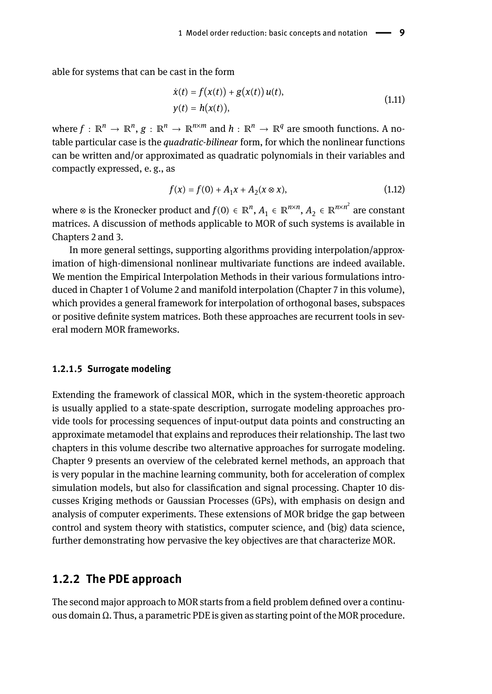able for systems that can be cast in the form

$$
\dot{x}(t) = f(x(t)) + g(x(t))u(t), \n y(t) = h(x(t)),
$$
\n(1.11)

where  $f: \mathbb{R}^n \to \mathbb{R}^n$ ,  $g: \mathbb{R}^n \to \mathbb{R}^{n \times m}$  and  $h: \mathbb{R}^n \to \mathbb{R}^q$  are smooth functions. A notable particular case is the *quadratic-bilinear* form, for which the nonlinear functions can be written and/or approximated as quadratic polynomials in their variables and compactly expressed, e. g., as

$$
f(x) = f(0) + A_1 x + A_2 (x \otimes x), \tag{1.12}
$$

where ⊗ is the Kronecker product and  $f(0) \in \mathbb{R}^n$ ,  $A_1 \in \mathbb{R}^{n \times n}$ ,  $A_2 \in \mathbb{R}^{n \times n^2}$  are constant matrices. A discussion of methods applicable to MOR of such systems is available in Chapters 2 and 3.

In more general settings, supporting algorithms providing interpolation/approximation of high-dimensional nonlinear multivariate functions are indeed available. We mention the Empirical Interpolation Methods in their various formulations introduced in Chapter 1 of Volume 2 and manifold interpolation (Chapter 7 in this volume), which provides a general framework for interpolation of orthogonal bases, subspaces or positive definite system matrices. Both these approaches are recurrent tools in several modern MOR frameworks.

#### **1.2.1.5 Surrogate modeling**

Extending the framework of classical MOR, which in the system-theoretic approach is usually applied to a state-spate description, surrogate modeling approaches provide tools for processing sequences of input-output data points and constructing an approximate metamodel that explains and reproduces their relationship. The last two chapters in this volume describe two alternative approaches for surrogate modeling. Chapter 9 presents an overview of the celebrated kernel methods, an approach that is very popular in the machine learning community, both for acceleration of complex simulation models, but also for classification and signal processing. Chapter 10 discusses Kriging methods or Gaussian Processes (GPs), with emphasis on design and analysis of computer experiments. These extensions of MOR bridge the gap between control and system theory with statistics, computer science, and (big) data science, further demonstrating how pervasive the key objectives are that characterize MOR.

### **1.2.2 The PDE approach**

The second major approach to MOR starts from a field problem defined over a continuous domain Ω. Thus, a parametric PDE is given as starting point of the MOR procedure.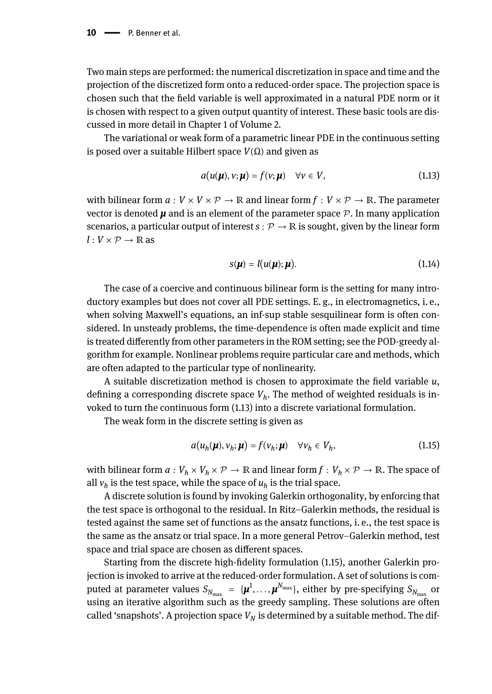Two main steps are performed: the numerical discretization in space and time and the projection of the discretized form onto a reduced-order space. The projection space is chosen such that the field variable is well approximated in a natural PDE norm or it is chosen with respect to a given output quantity of interest. These basic tools are discussed in more detail in Chapter 1 of Volume 2.

The variational or weak form of a parametric linear PDE in the continuous setting is posed over a suitable Hilbert space *V*(Ω) and given as

$$
a(u(\boldsymbol{\mu}), v; \boldsymbol{\mu}) = f(v; \boldsymbol{\mu}) \quad \forall v \in V, \tag{1.13}
$$

with bilinear form  $a: V \times V \times \mathcal{P} \to \mathbb{R}$  and linear form  $f: V \times \mathcal{P} \to \mathbb{R}$ . The parameter vector is denoted  $\mu$  and is an element of the parameter space  $\mathcal{P}$ . In many application scenarios, a particular output of interest  $s : \mathcal{P} \to \mathbb{R}$  is sought, given by the linear form  $l: V \times P \rightarrow \mathbb{R}$  as

$$
s(\boldsymbol{\mu}) = l(u(\boldsymbol{\mu}); \boldsymbol{\mu}). \tag{1.14}
$$

The case of a coercive and continuous bilinear form is the setting for many introductory examples but does not cover all PDE settings. E. g., in electromagnetics, i. e., when solving Maxwell's equations, an inf-sup stable sesquilinear form is often considered. In unsteady problems, the time-dependence is often made explicit and time is treated differently from other parameters in the ROM setting; see the POD-greedy algorithm for example. Nonlinear problems require particular care and methods, which are often adapted to the particular type of nonlinearity.

A suitable discretization method is chosen to approximate the field variable *u*, defining a corresponding discrete space *V<sup>h</sup>* . The method of weighted residuals is invoked to turn the continuous form (1.13) into a discrete variational formulation.

The weak form in the discrete setting is given as

$$
a(u_h(\boldsymbol{\mu}), v_h; \boldsymbol{\mu}) = f(v_h; \boldsymbol{\mu}) \quad \forall v_h \in V_h,
$$
\n(1.15)

with bilinear form  $a: V_h \times V_h \times \mathcal{P} \to \mathbb{R}$  and linear form  $f: V_h \times \mathcal{P} \to \mathbb{R}$ . The space of all  $v_h$  is the test space, while the space of  $u_h$  is the trial space.

A discrete solution is found by invoking Galerkin orthogonality, by enforcing that the test space is orthogonal to the residual. In Ritz–Galerkin methods, the residual is tested against the same set of functions as the ansatz functions, i. e., the test space is the same as the ansatz or trial space. In a more general Petrov–Galerkin method, test space and trial space are chosen as different spaces.

Starting from the discrete high-fidelity formulation (1.15), another Galerkin projection is invoked to arrive at the reduced-order formulation. A set of solutions is computed at parameter values  $S_{N_{\max}}~=~\{\bm{\mu}^1,\dots,\bm{\mu}^{N_{\max}}\},$  either by pre-specifying  $S_{N_{\max}}$  or using an iterative algorithm such as the greedy sampling. These solutions are often called 'snapshots'. A projection space  $V_N$  is determined by a suitable method. The dif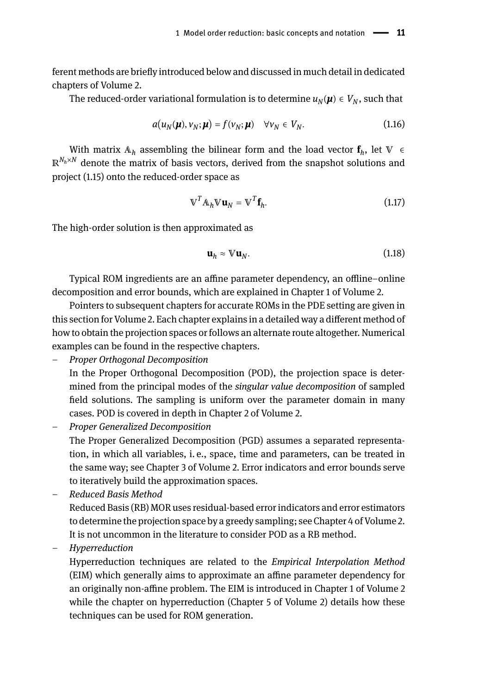ferent methods are briefly introduced below and discussed in much detail in dedicated chapters of Volume 2.

The reduced-order variational formulation is to determine  $u_N(\mu) \in V_N$ , such that

$$
a(u_N(\boldsymbol{\mu}), v_N; \boldsymbol{\mu}) = f(v_N; \boldsymbol{\mu}) \quad \forall v_N \in V_N.
$$
\n(1.16)

With matrix  $A_h$  assembling the bilinear form and the load vector  $f_h$ , let  $V \in$  $\mathbb{R}^{N_h \times N}$  denote the matrix of basis vectors, derived from the snapshot solutions and project (1.15) onto the reduced-order space as

$$
\mathbf{V}^T \mathbf{A}_h \mathbf{V} \mathbf{u}_N = \mathbf{V}^T \mathbf{f}_h. \tag{1.17}
$$

The high-order solution is then approximated as

$$
\mathbf{u}_h \approx \mathbb{V}\mathbf{u}_N. \tag{1.18}
$$

Typical ROM ingredients are an affine parameter dependency, an offline–online decomposition and error bounds, which are explained in Chapter 1 of Volume 2.

Pointers to subsequent chapters for accurate ROMs in the PDE setting are given in this section for Volume 2. Each chapter explains in a detailed way a different method of how to obtain the projection spaces or follows an alternate route altogether. Numerical examples can be found in the respective chapters.

– *Proper Orthogonal Decomposition*

In the Proper Orthogonal Decomposition (POD), the projection space is determined from the principal modes of the *singular value decomposition* of sampled field solutions. The sampling is uniform over the parameter domain in many cases. POD is covered in depth in Chapter 2 of Volume 2.

– *Proper Generalized Decomposition*

The Proper Generalized Decomposition (PGD) assumes a separated representation, in which all variables, i. e., space, time and parameters, can be treated in the same way; see Chapter 3 of Volume 2. Error indicators and error bounds serve to iteratively build the approximation spaces.

– *Reduced Basis Method*

Reduced Basis (RB) MOR uses residual-based error indicators and error estimators to determine the projection space by a greedy sampling; see Chapter 4 of Volume 2. It is not uncommon in the literature to consider POD as a RB method.

– *Hyperreduction*

Hyperreduction techniques are related to the *Empirical Interpolation Method* (EIM) which generally aims to approximate an affine parameter dependency for an originally non-affine problem. The EIM is introduced in Chapter 1 of Volume 2 while the chapter on hyperreduction (Chapter 5 of Volume 2) details how these techniques can be used for ROM generation.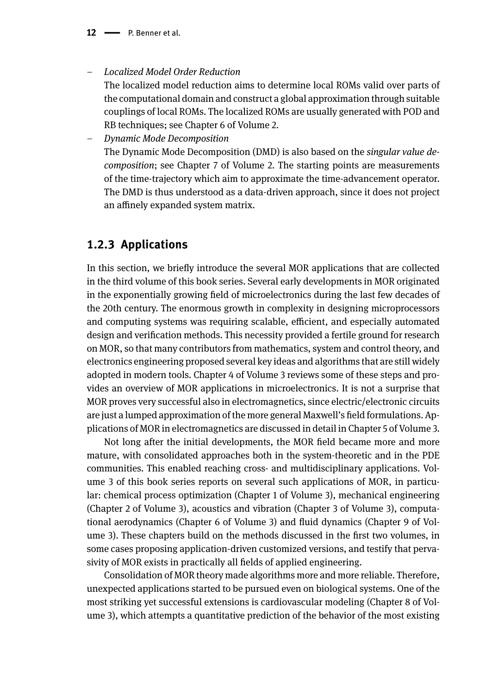– *Localized Model Order Reduction*

The localized model reduction aims to determine local ROMs valid over parts of the computational domain and construct a global approximation through suitable couplings of local ROMs. The localized ROMs are usually generated with POD and RB techniques; see Chapter 6 of Volume 2.

– *Dynamic Mode Decomposition* The Dynamic Mode Decomposition (DMD) is also based on the *singular value decomposition*; see Chapter 7 of Volume 2. The starting points are measurements of the time-trajectory which aim to approximate the time-advancement operator. The DMD is thus understood as a data-driven approach, since it does not project an affinely expanded system matrix.

### **1.2.3 Applications**

In this section, we briefly introduce the several MOR applications that are collected in the third volume of this book series. Several early developments in MOR originated in the exponentially growing field of microelectronics during the last few decades of the 20th century. The enormous growth in complexity in designing microprocessors and computing systems was requiring scalable, efficient, and especially automated design and verification methods. This necessity provided a fertile ground for research on MOR, so that many contributors from mathematics, system and control theory, and electronics engineering proposed several key ideas and algorithms that are still widely adopted in modern tools. Chapter 4 of Volume 3 reviews some of these steps and provides an overview of MOR applications in microelectronics. It is not a surprise that MOR proves very successful also in electromagnetics, since electric/electronic circuits are just a lumped approximation of the more general Maxwell's field formulations. Applications of MOR in electromagnetics are discussed in detail in Chapter 5 of Volume 3.

Not long after the initial developments, the MOR field became more and more mature, with consolidated approaches both in the system-theoretic and in the PDE communities. This enabled reaching cross- and multidisciplinary applications. Volume 3 of this book series reports on several such applications of MOR, in particular: chemical process optimization (Chapter 1 of Volume 3), mechanical engineering (Chapter 2 of Volume 3), acoustics and vibration (Chapter 3 of Volume 3), computational aerodynamics (Chapter 6 of Volume 3) and fluid dynamics (Chapter 9 of Volume 3). These chapters build on the methods discussed in the first two volumes, in some cases proposing application-driven customized versions, and testify that pervasivity of MOR exists in practically all fields of applied engineering.

Consolidation of MOR theory made algorithms more and more reliable. Therefore, unexpected applications started to be pursued even on biological systems. One of the most striking yet successful extensions is cardiovascular modeling (Chapter 8 of Volume 3), which attempts a quantitative prediction of the behavior of the most existing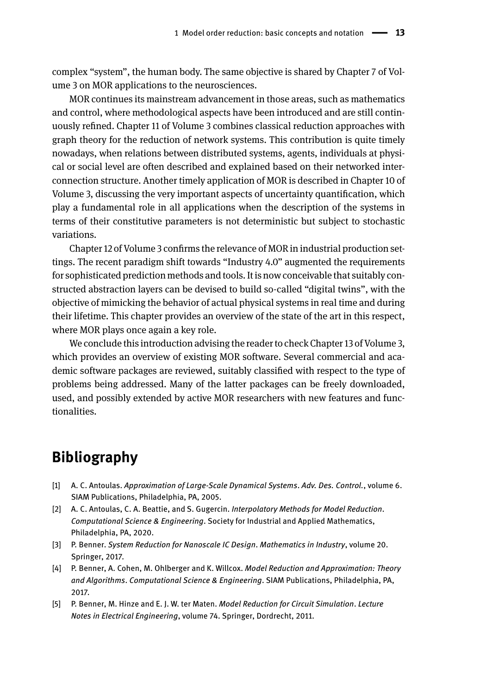complex "system", the human body. The same objective is shared by Chapter 7 of Volume 3 on MOR applications to the neurosciences.

MOR continues its mainstream advancement in those areas, such as mathematics and control, where methodological aspects have been introduced and are still continuously refined. Chapter 11 of Volume 3 combines classical reduction approaches with graph theory for the reduction of network systems. This contribution is quite timely nowadays, when relations between distributed systems, agents, individuals at physical or social level are often described and explained based on their networked interconnection structure. Another timely application of MOR is described in Chapter 10 of Volume 3, discussing the very important aspects of uncertainty quantification, which play a fundamental role in all applications when the description of the systems in terms of their constitutive parameters is not deterministic but subject to stochastic variations.

Chapter 12 of Volume 3 confirms the relevance of MOR in industrial production settings. The recent paradigm shift towards "Industry 4.0" augmented the requirements for sophisticated prediction methods and tools. It is now conceivable that suitably constructed abstraction layers can be devised to build so-called "digital twins", with the objective of mimicking the behavior of actual physical systems in real time and during their lifetime. This chapter provides an overview of the state of the art in this respect, where MOR plays once again a key role.

We conclude this introduction advising the reader to check Chapter 13 of Volume 3, which provides an overview of existing MOR software. Several commercial and academic software packages are reviewed, suitably classified with respect to the type of problems being addressed. Many of the latter packages can be freely downloaded, used, and possibly extended by active MOR researchers with new features and functionalities.

## **Bibliography**

- [1] A. C. Antoulas. *Approximation of Large-Scale Dynamical Systems*. *Adv. Des. Control.*, volume 6. SIAM Publications, Philadelphia, PA, 2005.
- [2] A. C. Antoulas, C. A. Beattie, and S. Gugercin. *Interpolatory Methods for Model Reduction*. *Computational Science & Engineering*. Society for Industrial and Applied Mathematics, Philadelphia, PA, 2020.
- [3] P. Benner. *System Reduction for Nanoscale IC Design*. *Mathematics in Industry*, volume 20. Springer, 2017.
- [4] P. Benner, A. Cohen, M. Ohlberger and K. Willcox. *Model Reduction and Approximation: Theory and Algorithms*. *Computational Science & Engineering*. SIAM Publications, Philadelphia, PA, 2017.
- [5] P. Benner, M. Hinze and E. J. W. ter Maten. *Model Reduction for Circuit Simulation*. *Lecture Notes in Electrical Engineering*, volume 74. Springer, Dordrecht, 2011.